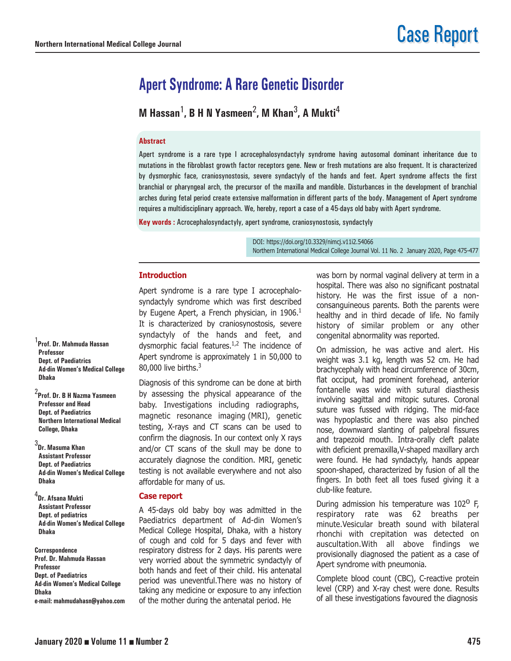# **Apert Syndrome: A Rare Genetic Disorder**

**M Hassan**1**, B H N Yasmeen**2**, M Khan**3**, A Mukti**<sup>4</sup>

#### **Abstract**

Apert syndrome is a rare type I acrocephalosyndactyly syndrome having autosomal dominant inheritance due to mutations in the fibroblast growth factor receptors gene. New or fresh mutations are also frequent. It is characterized by dysmorphic face, craniosynostosis, severe syndactyly of the hands and feet. Apert syndrome affects the first branchial or pharyngeal arch, the precursor of the maxilla and mandible. Disturbances in the development of branchial arches during fetal period create extensive malformation in different parts of the body. Management of Apert syndrome requires a multidisciplinary approach. We, hereby, report a case of a 45-days old baby with Apert syndrome.

**Key words :** Acrocephalosyndactyly, apert syndrome, craniosynostosis, syndactyly

DOI: https://doi.org/10.3329/nimcj.v11i2.54066 Northern International Medical College Journal Vol. 11 No. 2 January 2020, Page 475-477

## **Introduction**

Apert syndrome is a rare type I acrocephalosyndactyly syndrome which was first described by Eugene Apert, a French physician, in  $1906.<sup>1</sup>$ It is characterized by craniosynostosis, severe syndactyly of the hands and feet, and dysmorphic facial features. $1/2$  The incidence of Apert syndrome is approximately 1 in 50,000 to 80,000 live births.<sup>3</sup>

Diagnosis of this syndrome can be done at birth by assessing the physical appearance of the baby. Investigations including radiographs, magnetic resonance imaging (MRI), genetic testing, X-rays and CT scans can be used to confirm the diagnosis. In our context only X rays and/or CT scans of the skull may be done to accurately diagnose the condition. MRI, genetic testing is not available everywhere and not also affordable for many of us.

## **Case report**

A 45-days old baby boy was admitted in the Paediatrics department of Ad-din Women's Medical College Hospital, Dhaka, with a history of cough and cold for 5 days and fever with respiratory distress for 2 days. His parents were very worried about the symmetric syndactyly of both hands and feet of their child. His antenatal period was uneventful.There was no history of taking any medicine or exposure to any infection of the mother during the antenatal period. He

was born by normal vaginal delivery at term in a hospital. There was also no significant postnatal history. He was the first issue of a nonconsanguineous parents. Both the parents were healthy and in third decade of life. No family history of similar problem or any other congenital abnormality was reported.

On admission, he was active and alert. His weight was 3.1 kg, length was 52 cm. He had brachycephaly with head circumference of 30cm, flat occiput, had prominent forehead, anterior fontanelle was wide with sutural diasthesis involving sagittal and mitopic sutures. Coronal suture was fussed with ridging. The mid-face was hypoplastic and there was also pinched nose, downward slanting of palpebral fissures and trapezoid mouth. Intra-orally cleft palate with deficient premaxilla,V-shaped maxillary arch were found. He had syndactyly, hands appear spoon-shaped, characterized by fusion of all the fingers. In both feet all toes fused giving it a club-like feature.

During admission his temperature was 102<sup>0</sup> F, respiratory rate was 62 breaths per minute.Vesicular breath sound with bilateral rhonchi with crepitation was detected on auscultation.With all above findings we provisionally diagnosed the patient as a case of Apert syndrome with pneumonia.

Complete blood count (CBC), C-reactive protein level (CRP) and X-ray chest were done. Results of all these investigations favoured the diagnosis

1 **Prof. Dr. Mahmuda Hassan Professor Dept. of Paediatrics Ad-din Women's Medical College Dhaka** 

2 **Prof. Dr. B H Nazma Yasmeen Professor and Head Dept. of Paediatrics Northern International Medical College, Dhaka**

3 **Dr. Masuma Khan Assistant Professor Dept. of Paediatrics Ad-din Women's Medical College Dhaka**

4 **Dr. Afsana Mukti Assistant Professor Dept. of pediatrics Ad-din Women's Medical College Dhaka**

**Correspondence Prof. Dr. Mahmuda Hassan Professor Dept. of Paediatrics Ad-din Women's Medical College Dhaka e-mail: mahmudahasn@yahoo.com**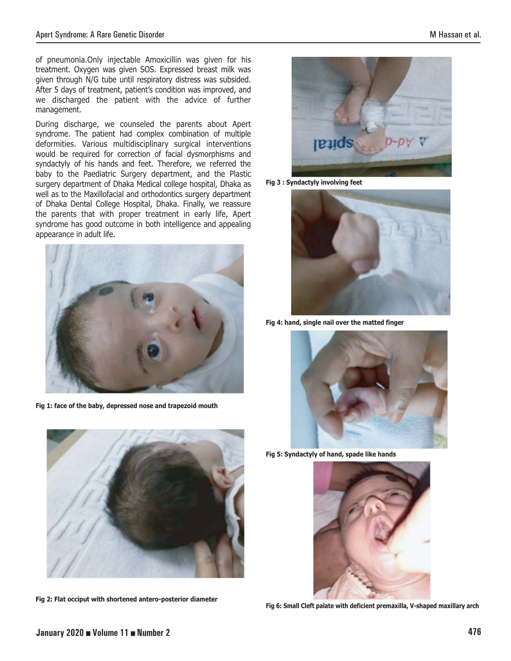of pneumonia.Only injectable Amoxicillin was given for his treatment. Oxygen was given SOS. Expressed breast milk was given through N/G tube until respiratory distress was subsided. After 5 days of treatment, patient's condition was improved, and we discharged the patient with the advice of further management.

During discharge, we counseled the parents about Apert syndrome. The patient had complex combination of multiple deformities. Various multidisciplinary surgical interventions would be required for correction of facial dysmorphisms and syndactyly of his hands and feet. Therefore, we referred the baby to the Paediatric Surgery department, and the Plastic surgery department of Dhaka Medical college hospital, Dhaka as well as to the Maxillofacial and orthodontics surgery department of Dhaka Dental College Hospital, Dhaka. Finally, we reassure the parents that with proper treatment in early life, Apert syndrome has good outcome in both intelligence and appealing appearance in adult life.



**Fig 1: face of the baby, depressed nose and trapezoid mouth**



**Fig 2: Flat occiput with shortened antero-posterior diameter**



**Fig 3 : Syndactyly involving feet**



**Fig 4: hand, single nail over the matted finger**



**Fig 5: Syndactyly of hand, spade like hands** 



**Fig 6: Small Cleft palate with deficient premaxilla, V-shaped maxillary arch**